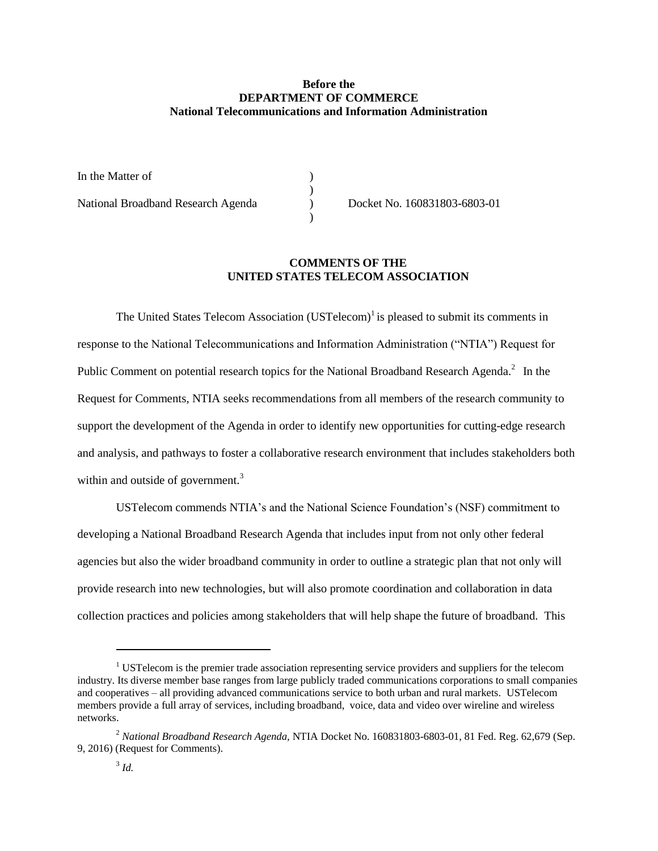## **Before the DEPARTMENT OF COMMERCE National Telecommunications and Information Administration**

 $\mathcal{L}$ 

)

In the Matter of  $\qquad \qquad$  )

National Broadband Research Agenda ) Docket No. 160831803-6803-01

## **COMMENTS OF THE UNITED STATES TELECOM ASSOCIATION**

The United States Telecom Association (USTelecom)<sup>1</sup> is pleased to submit its comments in response to the National Telecommunications and Information Administration ("NTIA") Request for Public Comment on potential research topics for the National Broadband Research Agenda.<sup>2</sup> In the Request for Comments, NTIA seeks recommendations from all members of the research community to support the development of the Agenda in order to identify new opportunities for cutting-edge research and analysis, and pathways to foster a collaborative research environment that includes stakeholders both within and outside of government.<sup>3</sup>

USTelecom commends NTIA's and the National Science Foundation's (NSF) commitment to developing a National Broadband Research Agenda that includes input from not only other federal agencies but also the wider broadband community in order to outline a strategic plan that not only will provide research into new technologies, but will also promote coordination and collaboration in data collection practices and policies among stakeholders that will help shape the future of broadband. This

 $\overline{a}$ 

 $1$  USTelecom is the premier trade association representing service providers and suppliers for the telecom industry. Its diverse member base ranges from large publicly traded communications corporations to small companies and cooperatives – all providing advanced communications service to both urban and rural markets. USTelecom members provide a full array of services, including broadband, voice, data and video over wireline and wireless networks.

<sup>2</sup> *National Broadband Research Agenda,* NTIA Docket No. 160831803-6803-01, 81 Fed. Reg. 62,679 (Sep. 9, 2016) (Request for Comments).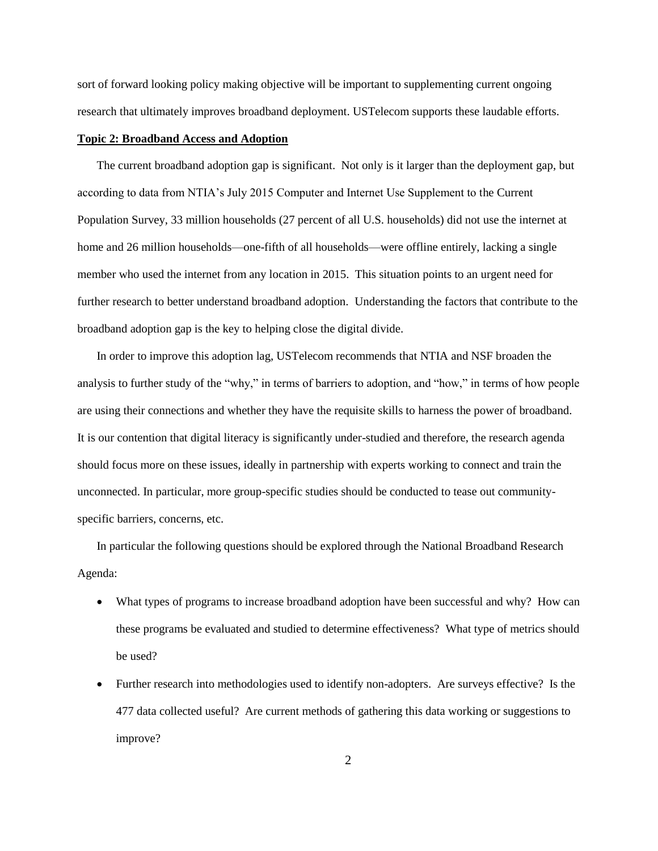sort of forward looking policy making objective will be important to supplementing current ongoing research that ultimately improves broadband deployment. USTelecom supports these laudable efforts.

## **Topic 2: Broadband Access and Adoption**

The current broadband adoption gap is significant. Not only is it larger than the deployment gap, but according to data from NTIA's July 2015 Computer and Internet Use Supplement to the Current Population Survey, 33 million households (27 percent of all U.S. households) did not use the internet at home and 26 million households—one-fifth of all households—were offline entirely, lacking a single member who used the internet from any location in 2015. This situation points to an urgent need for further research to better understand broadband adoption. Understanding the factors that contribute to the broadband adoption gap is the key to helping close the digital divide.

In order to improve this adoption lag, USTelecom recommends that NTIA and NSF broaden the analysis to further study of the "why," in terms of barriers to adoption, and "how," in terms of how people are using their connections and whether they have the requisite skills to harness the power of broadband. It is our contention that digital literacy is significantly under-studied and therefore, the research agenda should focus more on these issues, ideally in partnership with experts working to connect and train the unconnected. In particular, more group-specific studies should be conducted to tease out communityspecific barriers, concerns, etc.

In particular the following questions should be explored through the National Broadband Research Agenda:

- What types of programs to increase broadband adoption have been successful and why? How can these programs be evaluated and studied to determine effectiveness? What type of metrics should be used?
- Further research into methodologies used to identify non-adopters. Are surveys effective? Is the 477 data collected useful? Are current methods of gathering this data working or suggestions to improve?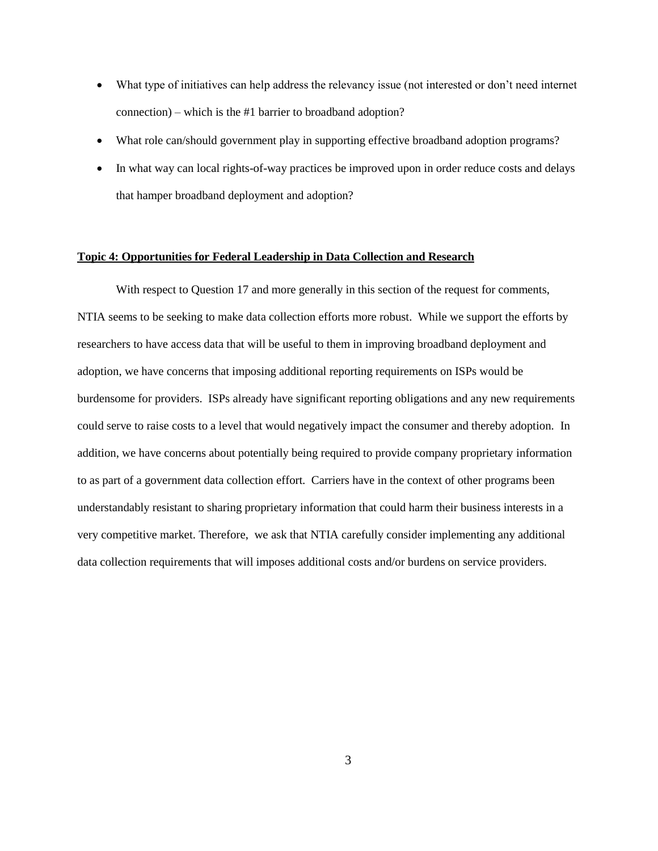- What type of initiatives can help address the relevancy issue (not interested or don't need internet connection) – which is the #1 barrier to broadband adoption?
- What role can/should government play in supporting effective broadband adoption programs?
- In what way can local rights-of-way practices be improved upon in order reduce costs and delays that hamper broadband deployment and adoption?

## **Topic 4: Opportunities for Federal Leadership in Data Collection and Research**

With respect to Question 17 and more generally in this section of the request for comments, NTIA seems to be seeking to make data collection efforts more robust. While we support the efforts by researchers to have access data that will be useful to them in improving broadband deployment and adoption, we have concerns that imposing additional reporting requirements on ISPs would be burdensome for providers. ISPs already have significant reporting obligations and any new requirements could serve to raise costs to a level that would negatively impact the consumer and thereby adoption. In addition, we have concerns about potentially being required to provide company proprietary information to as part of a government data collection effort. Carriers have in the context of other programs been understandably resistant to sharing proprietary information that could harm their business interests in a very competitive market. Therefore, we ask that NTIA carefully consider implementing any additional data collection requirements that will imposes additional costs and/or burdens on service providers.